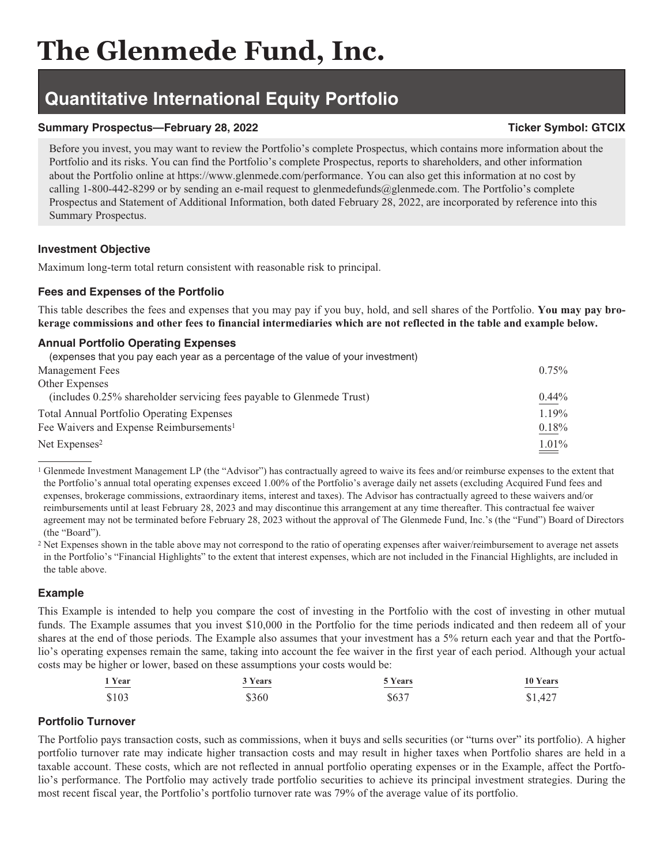# **The Glenmede Fund, Inc.**

## **Quantitative International Equity Portfolio**

#### **Summary Prospectus—February 28, 2022** Ticker Symbol: GTCIX

#### Before you invest, you may want to review the Portfolio's complete Prospectus, which contains more information about the Portfolio and its risks. You can find the Portfolio's complete Prospectus, reports to shareholders, and other information about the Portfolio online at https://www.glenmede.com/performance. You can also get this information at no cost by calling 1-800-442-8299 or by sending an e-mail request to glenmedefunds@glenmede.com. The Portfolio's complete Prospectus and Statement of Additional Information, both dated February 28, 2022, are incorporated by reference into this Summary Prospectus.

#### **Investment Objective**

Maximum long-term total return consistent with reasonable risk to principal.

### **Fees and Expenses of the Portfolio**

This table describes the fees and expenses that you may pay if you buy, hold, and sell shares of the Portfolio. **You may pay brokerage commissions and other fees to financial intermediaries which are not reflected in the table and example below.**

#### **Annual Portfolio Operating Expenses**

| (expenses that you pay each year as a percentage of the value of your investment) |          |
|-----------------------------------------------------------------------------------|----------|
| Management Fees                                                                   | 0.75%    |
| Other Expenses                                                                    |          |
| (includes 0.25% shareholder servicing fees payable to Glenmede Trust)             | $0.44\%$ |
| <b>Total Annual Portfolio Operating Expenses</b>                                  | 1.19%    |
| Fee Waivers and Expense Reimbursements <sup>1</sup>                               | 0.18%    |
| Net Expenses <sup>2</sup>                                                         | 1.01%    |

<sup>1</sup> Glenmede Investment Management LP (the "Advisor") has contractually agreed to waive its fees and/or reimburse expenses to the extent that the Portfolio's annual total operating expenses exceed 1.00% of the Portfolio's average daily net assets (excluding Acquired Fund fees and expenses, brokerage commissions, extraordinary items, interest and taxes). The Advisor has contractually agreed to these waivers and/or reimbursements until at least February 28, 2023 and may discontinue this arrangement at any time thereafter. This contractual fee waiver agreement may not be terminated before February 28, 2023 without the approval of The Glenmede Fund, Inc.'s (the "Fund") Board of Directors (the "Board").

<sup>2</sup> Net Expenses shown in the table above may not correspond to the ratio of operating expenses after waiver/reimbursement to average net assets in the Portfolio's "Financial Highlights" to the extent that interest expenses, which are not included in the Financial Highlights, are included in the table above.

#### **Example**

This Example is intended to help you compare the cost of investing in the Portfolio with the cost of investing in other mutual funds. The Example assumes that you invest \$10,000 in the Portfolio for the time periods indicated and then redeem all of your shares at the end of those periods. The Example also assumes that your investment has a 5% return each year and that the Portfolio's operating expenses remain the same, taking into account the fee waiver in the first year of each period. Although your actual costs may be higher or lower, based on these assumptions your costs would be:

| 1 Year | 3 Years | 5 Years | 10 Years |
|--------|---------|---------|----------|
| $ -$   |         | ______  | _______  |
| \$103  | \$360   | \$637   | \$1,427  |

#### **Portfolio Turnover**

The Portfolio pays transaction costs, such as commissions, when it buys and sells securities (or "turns over" its portfolio). A higher portfolio turnover rate may indicate higher transaction costs and may result in higher taxes when Portfolio shares are held in a taxable account. These costs, which are not reflected in annual portfolio operating expenses or in the Example, affect the Portfolio's performance. The Portfolio may actively trade portfolio securities to achieve its principal investment strategies. During the most recent fiscal year, the Portfolio's portfolio turnover rate was 79% of the average value of its portfolio.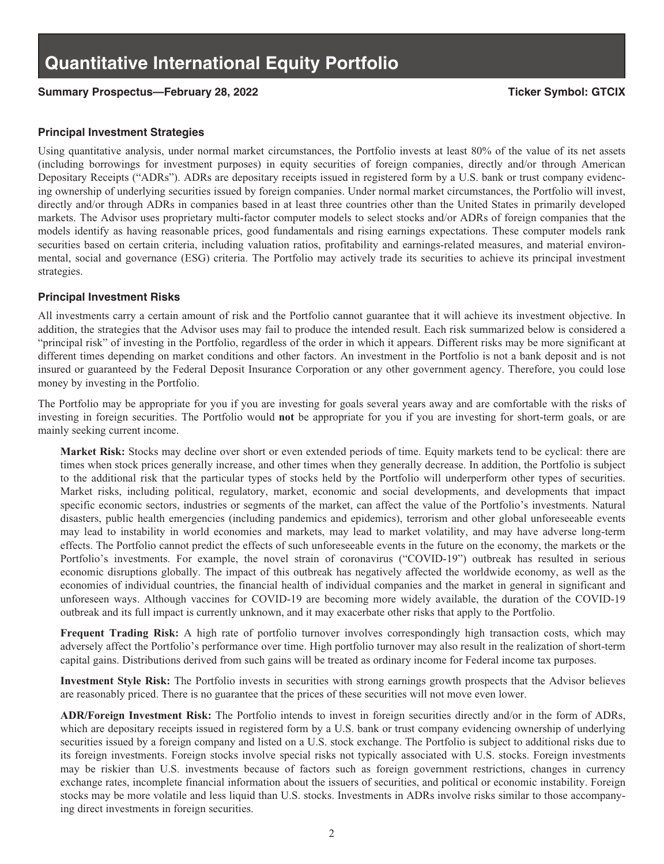#### Summary Prospectus—February 28, 2022 **Ticker Symbol: GTCIX Ticker Symbol: GTCIX**

#### **Principal Investment Strategies**

Using quantitative analysis, under normal market circumstances, the Portfolio invests at least 80% of the value of its net assets (including borrowings for investment purposes) in equity securities of foreign companies, directly and/or through American Depositary Receipts ("ADRs"). ADRs are depositary receipts issued in registered form by a U.S. bank or trust company evidencing ownership of underlying securities issued by foreign companies. Under normal market circumstances, the Portfolio will invest, directly and/or through ADRs in companies based in at least three countries other than the United States in primarily developed markets. The Advisor uses proprietary multi-factor computer models to select stocks and/or ADRs of foreign companies that the models identify as having reasonable prices, good fundamentals and rising earnings expectations. These computer models rank securities based on certain criteria, including valuation ratios, profitability and earnings-related measures, and material environmental, social and governance (ESG) criteria. The Portfolio may actively trade its securities to achieve its principal investment strategies.

#### **Principal Investment Risks**

All investments carry a certain amount of risk and the Portfolio cannot guarantee that it will achieve its investment objective. In addition, the strategies that the Advisor uses may fail to produce the intended result. Each risk summarized below is considered a "principal risk" of investing in the Portfolio, regardless of the order in which it appears. Different risks may be more significant at different times depending on market conditions and other factors. An investment in the Portfolio is not a bank deposit and is not insured or guaranteed by the Federal Deposit Insurance Corporation or any other government agency. Therefore, you could lose money by investing in the Portfolio.

The Portfolio may be appropriate for you if you are investing for goals several years away and are comfortable with the risks of investing in foreign securities. The Portfolio would **not** be appropriate for you if you are investing for short-term goals, or are mainly seeking current income.

**Market Risk:** Stocks may decline over short or even extended periods of time. Equity markets tend to be cyclical: there are times when stock prices generally increase, and other times when they generally decrease. In addition, the Portfolio is subject to the additional risk that the particular types of stocks held by the Portfolio will underperform other types of securities. Market risks, including political, regulatory, market, economic and social developments, and developments that impact specific economic sectors, industries or segments of the market, can affect the value of the Portfolio's investments. Natural disasters, public health emergencies (including pandemics and epidemics), terrorism and other global unforeseeable events may lead to instability in world economies and markets, may lead to market volatility, and may have adverse long-term effects. The Portfolio cannot predict the effects of such unforeseeable events in the future on the economy, the markets or the Portfolio's investments. For example, the novel strain of coronavirus ("COVID-19") outbreak has resulted in serious economic disruptions globally. The impact of this outbreak has negatively affected the worldwide economy, as well as the economies of individual countries, the financial health of individual companies and the market in general in significant and unforeseen ways. Although vaccines for COVID-19 are becoming more widely available, the duration of the COVID-19 outbreak and its full impact is currently unknown, and it may exacerbate other risks that apply to the Portfolio.

**Frequent Trading Risk:** A high rate of portfolio turnover involves correspondingly high transaction costs, which may adversely affect the Portfolio's performance over time. High portfolio turnover may also result in the realization of short-term capital gains. Distributions derived from such gains will be treated as ordinary income for Federal income tax purposes.

**Investment Style Risk:** The Portfolio invests in securities with strong earnings growth prospects that the Advisor believes are reasonably priced. There is no guarantee that the prices of these securities will not move even lower.

**ADR/Foreign Investment Risk:** The Portfolio intends to invest in foreign securities directly and/or in the form of ADRs, which are depositary receipts issued in registered form by a U.S. bank or trust company evidencing ownership of underlying securities issued by a foreign company and listed on a U.S. stock exchange. The Portfolio is subject to additional risks due to its foreign investments. Foreign stocks involve special risks not typically associated with U.S. stocks. Foreign investments may be riskier than U.S. investments because of factors such as foreign government restrictions, changes in currency exchange rates, incomplete financial information about the issuers of securities, and political or economic instability. Foreign stocks may be more volatile and less liquid than U.S. stocks. Investments in ADRs involve risks similar to those accompanying direct investments in foreign securities.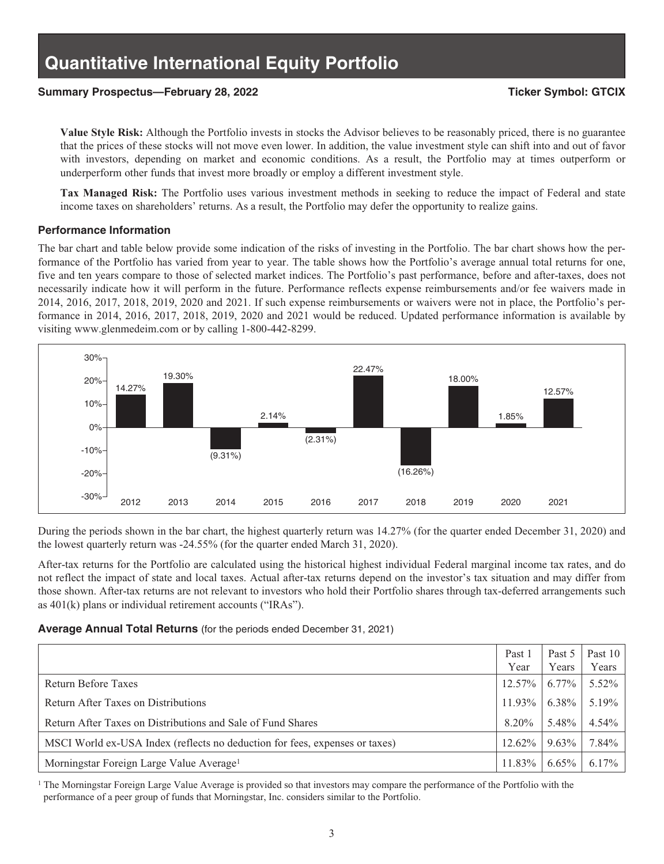#### Summary Prospectus—February 28, 2022 **Ticker Symbol: GTCIX** Ticker Symbol: GTCIX

**Value Style Risk:** Although the Portfolio invests in stocks the Advisor believes to be reasonably priced, there is no guarantee that the prices of these stocks will not move even lower. In addition, the value investment style can shift into and out of favor with investors, depending on market and economic conditions. As a result, the Portfolio may at times outperform or underperform other funds that invest more broadly or employ a different investment style.

**Tax Managed Risk:** The Portfolio uses various investment methods in seeking to reduce the impact of Federal and state income taxes on shareholders' returns. As a result, the Portfolio may defer the opportunity to realize gains.

#### **Performance Information**

The bar chart and table below provide some indication of the risks of investing in the Portfolio. The bar chart shows how the performance of the Portfolio has varied from year to year. The table shows how the Portfolio's average annual total returns for one, five and ten years compare to those of selected market indices. The Portfolio's past performance, before and after-taxes, does not necessarily indicate how it will perform in the future. Performance reflects expense reimbursements and/or fee waivers made in 2014, 2016, 2017, 2018, 2019, 2020 and 2021. If such expense reimbursements or waivers were not in place, the Portfolio's performance in 2014, 2016, 2017, 2018, 2019, 2020 and 2021 would be reduced. Updated performance information is available by visiting www.glenmedeim.com or by calling 1-800-442-8299.



During the periods shown in the bar chart, the highest quarterly return was 14.27% (for the quarter ended December 31, 2020) and the lowest quarterly return was -24.55% (for the quarter ended March 31, 2020).

After-tax returns for the Portfolio are calculated using the historical highest individual Federal marginal income tax rates, and do not reflect the impact of state and local taxes. Actual after-tax returns depend on the investor's tax situation and may differ from those shown. After-tax returns are not relevant to investors who hold their Portfolio shares through tax-deferred arrangements such as 401(k) plans or individual retirement accounts ("IRAs").

#### **Average Annual Total Returns** (for the periods ended December 31, 2021)

|                                                                             | Past 1<br>Year | Past 5<br>Years | Past $10$<br>Years |
|-----------------------------------------------------------------------------|----------------|-----------------|--------------------|
| Return Before Taxes                                                         | $12.57\%$      | 6.77%           | 5.52%              |
| Return After Taxes on Distributions                                         | 11.93%         | 6.38%           | 5.19%              |
| Return After Taxes on Distributions and Sale of Fund Shares                 | $8.20\%$       | 5.48%           | 4.54%              |
| MSCI World ex-USA Index (reflects no deduction for fees, expenses or taxes) | $12.62\%$      | $9.63\%$        | 7.84%              |
| Morningstar Foreign Large Value Average <sup>1</sup>                        | 11.83%         | $6.65\%$        | $6.17\%$           |

<sup>1</sup> The Morningstar Foreign Large Value Average is provided so that investors may compare the performance of the Portfolio with the performance of a peer group of funds that Morningstar, Inc. considers similar to the Portfolio.